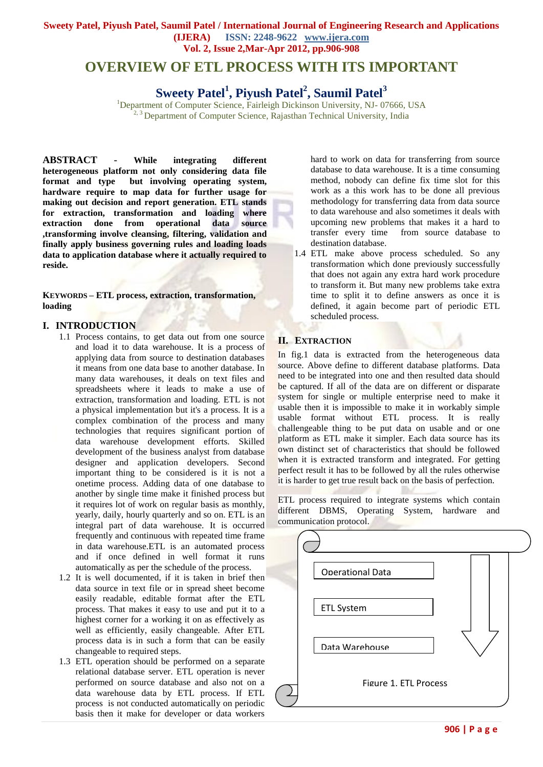#### **Sweety Patel, Piyush Patel, Saumil Patel / International Journal of Engineering Research and Applications (IJERA) ISSN: 2248-9622 www.ijera.com Vol. 2, Issue 2,Mar-Apr 2012, pp.906-908**

# **OVERVIEW OF ETL PROCESS WITH ITS IMPORTANT**

# **Sweety Patel<sup>1</sup> , Piyush Patel<sup>2</sup> , Saumil Patel<sup>3</sup>**

<sup>1</sup>Department of Computer Science, Fairleigh Dickinson University, NJ- 07666, USA <sup>2, 3</sup> Department of Computer Science, Rajasthan Technical University, India

**ABSTRACT - While integrating different heterogeneous platform not only considering data file format and type but involving operating system, hardware require to map data for further usage for making out decision and report generation. ETL stands for extraction, transformation and loading where extraction done from operational data source ,transforming involve cleansing, filtering, validation and finally apply business governing rules and loading loads data to application database where it actually required to reside.**

**KEYWORDS – ETL process, extraction, transformation, loading** 

#### **I. INTRODUCTION**

- 1.1 Process contains, to get data out from one source and load it to data warehouse. It is a process of applying data from source to destination databases it means from one data base to another database. In many data warehouses, it deals on text files and spreadsheets where it leads to make a use of extraction, transformation and loading. ETL is not a physical implementation but it's a process. It is a complex combination of the process and many technologies that requires significant portion of data warehouse development efforts. Skilled development of the business analyst from database designer and application developers. Second important thing to be considered is it is not a onetime process. Adding data of one database to another by single time make it finished process but it requires lot of work on regular basis as monthly, yearly, daily, hourly quarterly and so on. ETL is an integral part of data warehouse. It is occurred frequently and continuous with repeated time frame in data warehouse.ETL is an automated process and if once defined in well format it runs automatically as per the schedule of the process.
- 1.2 It is well documented, if it is taken in brief then data source in text file or in spread sheet become easily readable, editable format after the ETL process. That makes it easy to use and put it to a highest corner for a working it on as effectively as well as efficiently, easily changeable. After ETL process data is in such a form that can be easily changeable to required steps.
- 1.3 ETL operation should be performed on a separate relational database server. ETL operation is never performed on source database and also not on a data warehouse data by ETL process. If ETL process is not conducted automatically on periodic basis then it make for developer or data workers

hard to work on data for transferring from source database to data warehouse. It is a time consuming method, nobody can define fix time slot for this work as a this work has to be done all previous methodology for transferring data from data source to data warehouse and also sometimes it deals with upcoming new problems that makes it a hard to transfer every time from source database to destination database.

1.4 ETL make above process scheduled. So any transformation which done previously successfully that does not again any extra hard work procedure to transform it. But many new problems take extra time to split it to define answers as once it is defined, it again become part of periodic ETL scheduled process.

#### **II. EXTRACTION**

In fig.1 data is extracted from the heterogeneous data source. Above define to different database platforms. Data need to be integrated into one and then resulted data should be captured. If all of the data are on different or disparate system for single or multiple enterprise need to make it usable then it is impossible to make it in workably simple usable format without ETL process. It is really challengeable thing to be put data on usable and or one platform as ETL make it simpler. Each data source has its own distinct set of characteristics that should be followed when it is extracted transform and integrated. For getting perfect result it has to be followed by all the rules otherwise it is harder to get true result back on the basis of perfection.

ETL process required to integrate systems which contain different DBMS, Operating System, hardware and communication protocol.

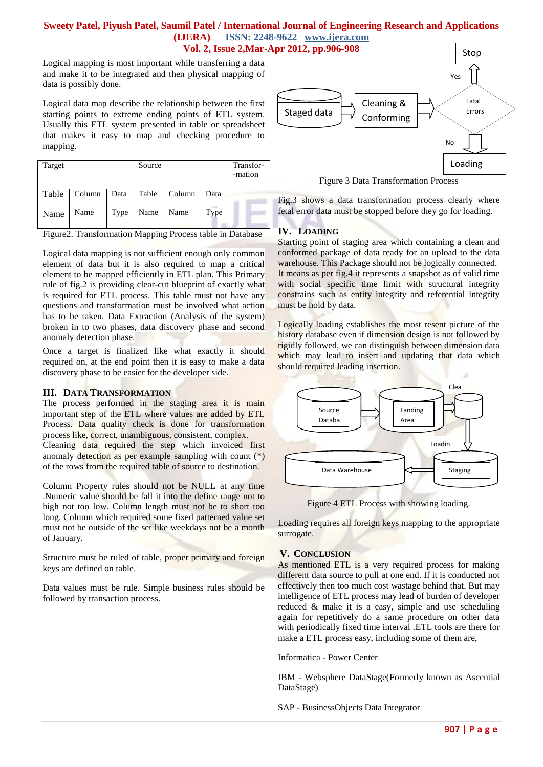#### **Sweety Patel, Piyush Patel, Saumil Patel / International Journal of Engineering Research and Applications (IJERA) ISSN: 2248-9622 www.ijera.com Vol. 2, Issue 2,Mar-Apr 2012, pp.906-908**

Logical mapping is most important while transferring a data and make it to be integrated and then physical mapping of data is possibly done.

Logical data map describe the relationship between the first starting points to extreme ending points of ETL system. Usually this ETL system presented in table or spreadsheet that makes it easy to map and checking procedure to mapping.

| Target |        |      | Source |        |      | Transfor-<br>-mation |
|--------|--------|------|--------|--------|------|----------------------|
| Table  | Column | Data | Table  | Column | Data |                      |
| Name   | Name   | Type | Name   | Name   | Type |                      |

Figure2. Transformation Mapping Process table in Database

Logical data mapping is not sufficient enough only common element of data but it is also required to map a critical element to be mapped efficiently in ETL plan. This Primary rule of fig.2 is providing clear-cut blueprint of exactly what is required for ETL process. This table must not have any questions and transformation must be involved what action has to be taken. Data Extraction (Analysis of the system) broken in to two phases, data discovery phase and second anomaly detection phase.

Once a target is finalized like what exactly it should required on, at the end point then it is easy to make a data discovery phase to be easier for the developer side.

#### **III. DATA TRANSFORMATION**

The process performed in the staging area it is main important step of the ETL where values are added by ETL Process. Data quality check is done for transformation process like, correct, unambiguous, consistent, complex.

Cleaning data required the step which invoiced first anomaly detection as per example sampling with count  $(*)$ of the rows from the required table of source to destination.

Column Property rules should not be NULL at any time .Numeric value should be fall it into the define range not to high not too low. Column length must not be to short too long. Column which required some fixed patterned value set must not be outside of the set like weekdays not be a month of January.

Structure must be ruled of table, proper primary and foreign keys are defined on table.

Data values must be rule. Simple business rules should be followed by transaction process.



Figure 3 Data Transformation Process

Fig.3 shows a data transformation process clearly where fetal error data must be stopped before they go for loading.

## **IV. LOADING**

Starting point of staging area which containing a clean and conformed package of data ready for an upload to the data warehouse. This Package should not be logically connected. It means as per fig.4 it represents a snapshot as of valid time with social specific time limit with structural integrity constrains such as entity integrity and referential integrity must be hold by data.

Logically loading establishes the most resent picture of the history database even if dimension design is not followed by rigidly followed, we can distinguish between dimension data which may lead to insert and updating that data which should required leading insertion.



Figure 4 ETL Process with showing loading.

Loading requires all foreign keys mapping to the appropriate surrogate.

### **V. CONCLUSION**

As mentioned ETL is a very required process for making different data source to pull at one end. If it is conducted not effectively then too much cost wastage behind that. But may intelligence of ETL process may lead of burden of developer reduced & make it is a easy, simple and use scheduling again for repetitively do a same procedure on other data with periodically fixed time interval .ETL tools are there for make a ETL process easy, including some of them are,

Informatica - Power Center

IBM - Websphere DataStage(Formerly known as Ascential DataStage)

SAP - BusinessObjects Data Integrator